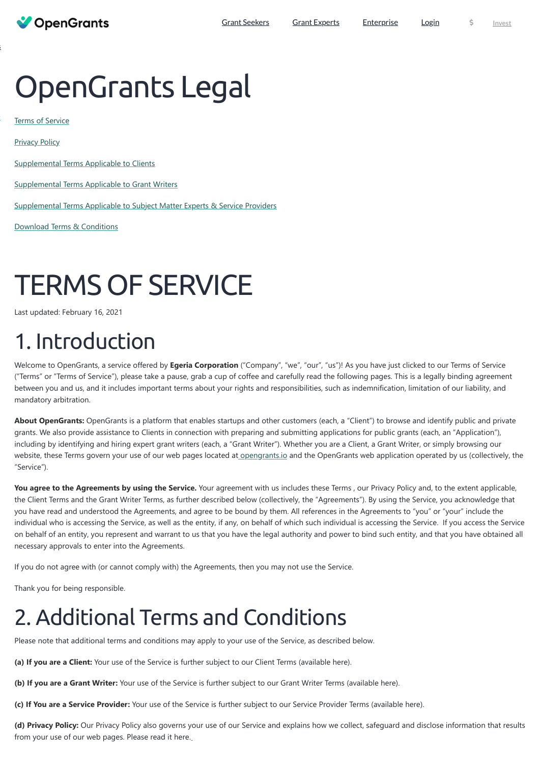# OpenGrants Legal

[Terms of Service](#page-0-0)

[Supplemental Terms Applicable to Clients](#page-10-0)

[Supplemental Terms Applicable to Grant Writers](#page-12-0)

[Supplemental Terms Applicable to Subject Matter Experts & Service Providers](#page-13-0)

Download Terms & Conditions

**OpenGrants** 

# <span id="page-0-0"></span>TERMS OF SERVICE

Last updated: February 16, 2021

# 1. Introduction

Welcome to OpenGrants, a service offered by **Egeria Corporation** ("Company", "we", "our", "us")! As you have just clicked to our Terms of Service ("Terms" or "Terms of Service"), please take a pause, grab a cup of coffee and carefully read the following pages. This is a legally binding agreement between you and us, and it includes important terms about your rights and responsibilities, such as indemnification, limitation of our liability, and mandatory arbitration.

**About OpenGrants:** OpenGrants is a platform that enables startups and other customers (each, a "Client") to browse and identify public and private grants. We also provide assistance to Clients in connection with preparing and submitting applications for public grants (each, an "Application"), including by identifying and hiring expert grant writers (each, a "Grant Writer"). Whether you are a Client, a Grant Writer, or simply browsing our website, these Terms govern your use of our web pages located at [opengrants.io](https://opengrants.io/) and the OpenGrants web application operated by us (collectively, the "Service").

You agree to the Agreements by using the Service. Your agreement with us includes these Terms, our Privacy Policy and, to the extent applicable, the Client Terms and the Grant Writer Terms, as further described below (collectively, the "Agreements"). By using the Service, you acknowledge that you have read and understood the Agreements, and agree to be bound by them. All references in the Agreements to "you" or "your" include the individual who is accessing the Service, as well as the entity, if any, on behalf of which such individual is accessing the Service. If you access the Service on behalf of an entity, you represent and warrant to us that you have the legal authority and power to bind such entity, and that you have obtained all necessary approvals to enter into the Agreements.

If you do not agree with (or cannot comply with) the Agreements, then you may not use the Service.

Thank you for being responsible.

### 2. Additional Terms and Conditions

Please note that additional terms and conditions may apply to your use of the Service, as described below.

**(a) If you are a Client:** Your use of the Service is further subject to our Client Terms (available here).

**(b) If you are a Grant Writer:** Your use of the Service is further subject to our Grant Writer Terms (available here).

**(c) If You are a Service Provider:** Your use of the Service is further subject to our Service Provider Terms (available here).

**(d) Privacy Policy:** Our Privacy Policy also governs your use of our Service and explains how we collect, safeguard and disclose information that results from your use of our web pages. Please read it here.

[s](https://www.opengrants.io/consultants/)

**[t](https://wefunder.com/opengrantsio/)**

**[Privacy Policy](#page-6-0)**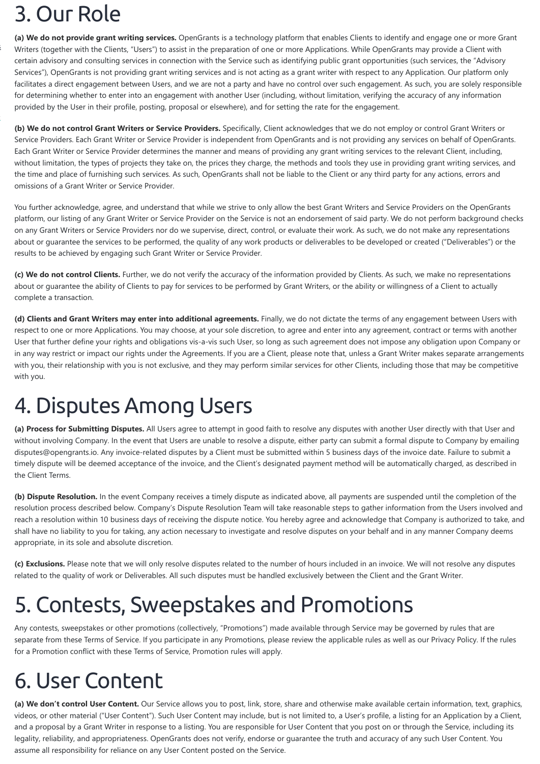### 3. Our Role

**(a) We do not provide grant writing services.** OpenGrants is a technology platform that enables Clients to identify and engage one or more Grant Writers (together with the Clients, "Users") to assist in the preparation of one or more Applications. While OpenGrants may provide a Client with certain advisory and consulting services in connection with the Service such as identifying public grant opportunities (such services, the "Advisory Services"), OpenGrants is not providing grant writing services and is not acting as a grant writer with respect to any Application. Our platform only facilitates a direct engagement between Users, and we are not a party and have no control over such engagement. As such, you are solely responsible for determining whether to enter into an engagement with another User (including, without limitation, verifying the accuracy of any information provided by the User in their profile, posting, proposal or elsewhere), and for setting the rate for the engagement.

**(b) We do not control Grant Writers or Service Providers.** Specifically, Client acknowledges that we do not employ or control Grant Writers or Service Providers. Each Grant Writer or Service Provider is independent from OpenGrants and is not providing any services on behalf of OpenGrants. Each Grant Writer or Service Provider determines the manner and means of providing any grant writing services to the relevant Client, including, without limitation, the types of projects they take on, the prices they charge, the methods and tools they use in providing grant writing services, and the time and place of furnishing such services. As such, OpenGrants shall not be liable to the Client or any third party for any actions, errors and omissions of a Grant Writer or Service Provider.

You further acknowledge, agree, and understand that while we strive to only allow the best Grant Writers and Service Providers on the OpenGrants platform, our listing of any Grant Writer or Service Provider on the Service is not an endorsement of said party. We do not perform background checks on any Grant Writers or Service Providers nor do we supervise, direct, control, or evaluate their work. As such, we do not make any representations about or guarantee the services to be performed, the quality of any work products or deliverables to be developed or created ("Deliverables") or the results to be achieved by engaging such Grant Writer or Service Provider.

**(c) We do not control Clients.** Further, we do not verify the accuracy of the information provided by Clients. As such, we make no representations about or guarantee the ability of Clients to pay for services to be performed by Grant Writers, or the ability or willingness of a Client to actually complete a transaction.

**(d) Clients and Grant Writers may enter into additional agreements.** Finally, we do not dictate the terms of any engagement between Users with respect to one or more Applications. You may choose, at your sole discretion, to agree and enter into any agreement, contract or terms with another User that further define your rights and obligations vis-a-vis such User, so long as such agreement does not impose any obligation upon Company or in any way restrict or impact our rights under the Agreements. If you are a Client, please note that, unless a Grant Writer makes separate arrangements with you, their relationship with you is not exclusive, and they may perform similar services for other Clients, including those that may be competitive with you.

### 4. Disputes Among Users

**(a) Process for Submitting Disputes.** All Users agree to attempt in good faith to resolve any disputes with another User directly with that User and without involving Company. In the event that Users are unable to resolve a dispute, either party can submit a formal dispute to Company by emailing disputes@opengrants.io. Any invoice-related disputes by a Client must be submitted within 5 business days of the invoice date. Failure to submit a timely dispute will be deemed acceptance of the invoice, and the Client's designated payment method will be automatically charged, as described in the Client Terms.

**(b) Dispute Resolution.** In the event Company receives a timely dispute as indicated above, all payments are suspended until the completion of the resolution process described below. Company's Dispute Resolution Team will take reasonable steps to gather information from the Users involved and reach a resolution within 10 business days of receiving the dispute notice. You hereby agree and acknowledge that Company is authorized to take, and shall have no liability to you for taking, any action necessary to investigate and resolve disputes on your behalf and in any manner Company deems appropriate, in its sole and absolute discretion.

**(c) Exclusions.** Please note that we will only resolve disputes related to the number of hours included in an invoice. We will not resolve any disputes related to the quality of work or Deliverables. All such disputes must be handled exclusively between the Client and the Grant Writer.

### 5. Contests, Sweepstakes and Promotions

Any contests, sweepstakes or other promotions (collectively, "Promotions") made available through Service may be governed by rules that are separate from these Terms of Service. If you participate in any Promotions, please review the applicable rules as well as our Privacy Policy. If the rules for a Promotion conflict with these Terms of Service, Promotion rules will apply.

### 6. User Content

**(a) We don't control User Content.** Our Service allows you to post, link, store, share and otherwise make available certain information, text, graphics, videos, or other material ("User Content"). Such User Content may include, but is not limited to, a User's profile, a listing for an Application by a Client, and a proposal by a Grant Writer in response to a listing. You are responsible for User Content that you post on or through the Service, including its legality, reliability, and appropriateness. OpenGrants does not verify, endorse or guarantee the truth and accuracy of any such User Content. You assume all responsibility for reliance on any User Content posted on the Service.

[s](https://www.opengrants.io/consultants/)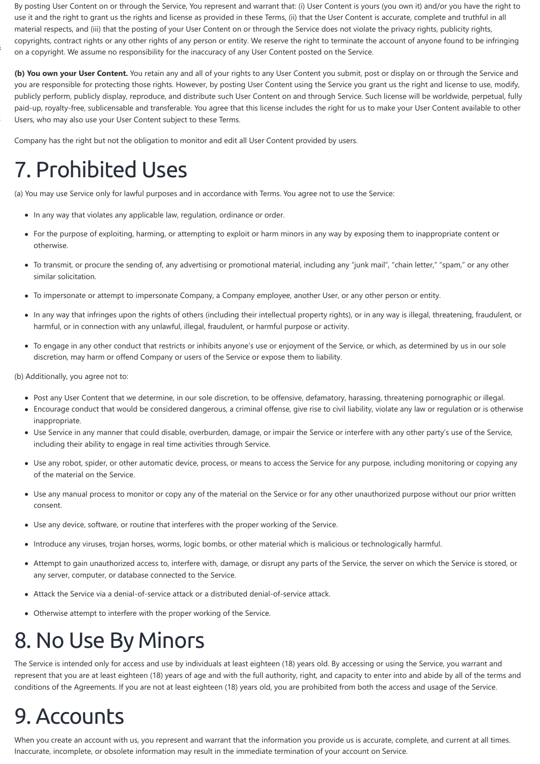By posting User Content on or through the Service, You represent and warrant that: (i) User Content is yours (you own it) and/or you have the right to use it and the right to grant us the rights and license as provided in these Terms, (ii) that the User Content is accurate, complete and truthful in all material respects, and (iii) that the posting of your User Content on or through the Service does not violate the privacy rights, publicity rights, copyrights, contract rights or any other rights of any person or entity. We reserve the right to terminate the account of anyone found to be infringing on a copyright. We assume no responsibility for the inaccuracy of any User Content posted on the Service.

**(b) You own your User Content.** You retain any and all of your rights to any User Content you submit, post or display on or through the Service and you are responsible for protecting those rights. However, by posting User Content using the Service you grant us the right and license to use, modify, publicly perform, publicly display, reproduce, and distribute such User Content on and through Service. Such license will be worldwide, perpetual, fully paid-up, royalty-free, sublicensable and transferable. You agree that this license includes the right for us to make your User Content available to other Users, who may also use your User Content subject to these Terms.

- In any way that violates any applicable law, regulation, ordinance or order.
- For the purpose of exploiting, harming, or attempting to exploit or harm minors in any way by exposing them to inappropriate content or otherwise.
- To transmit, or procure the sending of, any advertising or promotional material, including any "junk mail", "chain letter," "spam," or any other similar solicitation.
- To impersonate or attempt to impersonate Company, a Company employee, another User, or any other person or entity.
- In any way that infringes upon the rights of others (including their intellectual property rights), or in any way is illegal, threatening, fraudulent, or harmful, or in connection with any unlawful, illegal, fraudulent, or harmful purpose or activity.
- To engage in any other conduct that restricts or inhibits anyone's use or enjoyment of the Service, or which, as determined by us in our sole discretion, may harm or offend Company or users of the Service or expose them to liability.

Company has the right but not the obligation to monitor and edit all User Content provided by users.

## 7. Prohibited Uses

(a) You may use Service only for lawful purposes and in accordance with Terms. You agree not to use the Service:

- Post any User Content that we determine, in our sole discretion, to be offensive, defamatory, harassing, threatening pornographic or illegal.
- Encourage conduct that would be considered dangerous, a criminal offense, give rise to civil liability, violate any law or regulation or is otherwise inappropriate.
- Use Service in any manner that could disable, overburden, damage, or impair the Service or interfere with any other party's use of the Service, including their ability to engage in real time activities through Service.
- Use any robot, spider, or other automatic device, process, or means to access the Service for any purpose, including monitoring or copying any of the material on the Service.
- Use any manual process to monitor or copy any of the material on the Service or for any other unauthorized purpose without our prior written consent.
- Use any device, software, or routine that interferes with the proper working of the Service.
- Introduce any viruses, trojan horses, worms, logic bombs, or other material which is malicious or technologically harmful.
- Attempt to gain unauthorized access to, interfere with, damage, or disrupt any parts of the Service, the server on which the Service is stored, or any server, computer, or database connected to the Service.

(b) Additionally, you agree not to:

- Attack the Service via a denial-of-service attack or a distributed denial-of-service attack.
- Otherwise attempt to interfere with the proper working of the Service.

### 8. No Use By Minors

The Service is intended only for access and use by individuals at least eighteen (18) years old. By accessing or using the Service, you warrant and represent that you are at least eighteen (18) years of age and with the full authority, right, and capacity to enter into and abide by all of the terms and conditions of the Agreements. If you are not at least eighteen (18) years old, you are prohibited from both the access and usage of the Service.

### 9. Accounts

When you create an account with us, you represent and warrant that the information you provide us is accurate, complete, and current at all times. Inaccurate, incomplete, or obsolete information may result in the immediate termination of your account on Service.

[s](https://www.opengrants.io/consultants/)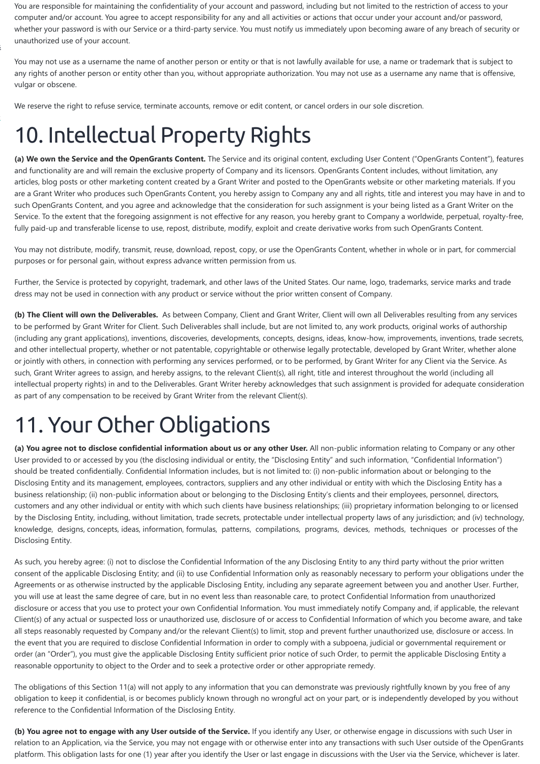You are responsible for maintaining the confidentiality of your account and password, including but not limited to the restriction of access to your computer and/or account. You agree to accept responsibility for any and all activities or actions that occur under your account and/or password, whether your password is with our Service or a third-party service. You must notify us immediately upon becoming aware of any breach of security or unauthorized use of your account.

You may not use as a username the name of another person or entity or that is not lawfully available for use, a name or trademark that is subject to any rights of another person or entity other than you, without appropriate authorization. You may not use as a username any name that is offensive, vulgar or obscene.

We reserve the right to refuse service, terminate accounts, remove or edit content, or cancel orders in our sole discretion.

### 10. Intellectual Property Rights

**(a) We own the Service and the OpenGrants Content.** The Service and its original content, excluding User Content ("OpenGrants Content"), features and functionality are and will remain the exclusive property of Company and its licensors. OpenGrants Content includes, without limitation, any articles, blog posts or other marketing content created by a Grant Writer and posted to the OpenGrants website or other marketing materials. If you are a Grant Writer who produces such OpenGrants Content, you hereby assign to Company any and all rights, title and interest you may have in and to such OpenGrants Content, and you agree and acknowledge that the consideration for such assignment is your being listed as a Grant Writer on the Service. To the extent that the foregoing assignment is not effective for any reason, you hereby grant to Company a worldwide, perpetual, royalty-free, fully paid-up and transferable license to use, repost, distribute, modify, exploit and create derivative works from such OpenGrants Content.

You may not distribute, modify, transmit, reuse, download, repost, copy, or use the OpenGrants Content, whether in whole or in part, for commercial purposes or for personal gain, without express advance written permission from us.

Further, the Service is protected by copyright, trademark, and other laws of the United States. Our name, logo, trademarks, service marks and trade dress may not be used in connection with any product or service without the prior written consent of Company.

**(b) The Client will own the Deliverables.** As between Company, Client and Grant Writer, Client will own all Deliverables resulting from any services to be performed by Grant Writer for Client. Such Deliverables shall include, but are not limited to, any work products, original works of authorship (including any grant applications), inventions, discoveries, developments, concepts, designs, ideas, know-how, improvements, inventions, trade secrets, and other intellectual property, whether or not patentable, copyrightable or otherwise legally protectable, developed by Grant Writer, whether alone or jointly with others, in connection with performing any services performed, or to be performed, by Grant Writer for any Client via the Service. As such, Grant Writer agrees to assign, and hereby assigns, to the relevant Client(s), all right, title and interest throughout the world (including all intellectual property rights) in and to the Deliverables. Grant Writer hereby acknowledges that such assignment is provided for adequate consideration as part of any compensation to be received by Grant Writer from the relevant Client(s).

# 11. Your Other Obligations

**(a) You agree not to disclose confidential information about us or any other User.** All non-public information relating to Company or any other User provided to or accessed by you (the disclosing individual or entity, the "Disclosing Entity" and such information, "Confidential Information") should be treated confidentially. Confidential Information includes, but is not limited to: (i) non-public information about or belonging to the Disclosing Entity and its management, employees, contractors, suppliers and any other individual or entity with which the Disclosing Entity has a business relationship; (ii) non-public information about or belonging to the Disclosing Entity's clients and their employees, personnel, directors, customers and any other individual or entity with which such clients have business relationships; (iii) proprietary information belonging to or licensed by the Disclosing Entity, including, without limitation, trade secrets, protectable under intellectual property laws of any jurisdiction; and (iv) technology, knowledge, designs, concepts, ideas, information, formulas, patterns, compilations, programs, devices, methods, techniques or processes of the Disclosing Entity.

As such, you hereby agree: (i) not to disclose the Confidential Information of the any Disclosing Entity to any third party without the prior written consent of the applicable Disclosing Entity; and (ii) to use Confidential Information only as reasonably necessary to perform your obligations under the Agreements or as otherwise instructed by the applicable Disclosing Entity, including any separate agreement between you and another User. Further, you will use at least the same degree of care, but in no event less than reasonable care, to protect Confidential Information from unauthorized disclosure or access that you use to protect your own Confidential Information. You must immediately notify Company and, if applicable, the relevant Client(s) of any actual or suspected loss or unauthorized use, disclosure of or access to Confidential Information of which you become aware, and take all steps reasonably requested by Company and/or the relevant Client(s) to limit, stop and prevent further unauthorized use, disclosure or access. In the event that you are required to disclose Confidential Information in order to comply with a subpoena, judicial or governmental requirement or order (an "Order"), you must give the applicable Disclosing Entity sufficient prior notice of such Order, to permit the applicable Disclosing Entity a reasonable opportunity to object to the Order and to seek a protective order or other appropriate remedy.

The obligations of this Section 11(a) will not apply to any information that you can demonstrate was previously rightfully known by you free of any obligation to keep it confidential, is or becomes publicly known through no wrongful act on your part, or is independently developed by you without reference to the Confidential Information of the Disclosing Entity.

**(b) You agree not to engage with any User outside of the Service.** If you identify any User, or otherwise engage in discussions with such User in relation to an Application, via the Service, you may not engage with or otherwise enter into any transactions with such User outside of the OpenGrants platform. This obligation lasts for one (1) year after you identify the User or last engage in discussions with the User via the Service, whichever is later.

[s](https://www.opengrants.io/consultants/)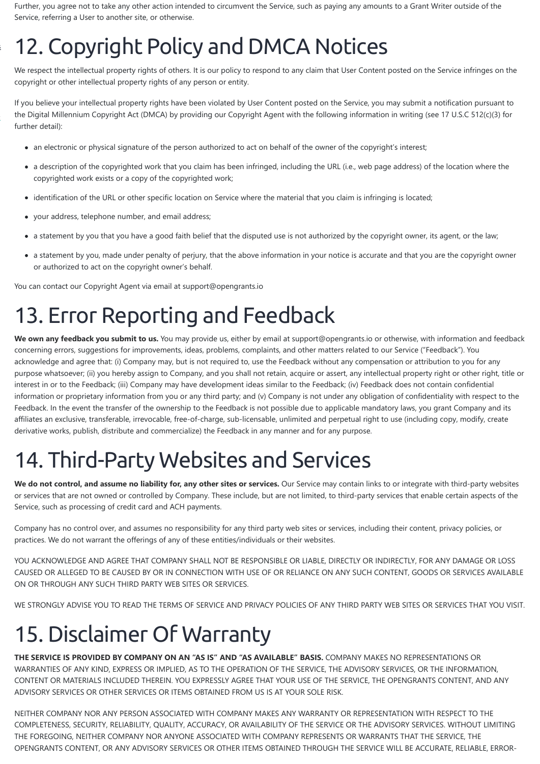Further, you agree not to take any other action intended to circumvent the Service, such as paying any amounts to a Grant Writer outside of the Service, referring a User to another site, or otherwise.

# 12. Copyright Policy and DMCA Notices

We respect the intellectual property rights of others. It is our policy to respond to any claim that User Content posted on the Service infringes on the copyright or other intellectual property rights of any person or entity.

If you believe your intellectual property rights have been violated by User Content posted on the Service, you may submit a notification pursuant to the Digital Millennium Copyright Act (DMCA) by providing our Copyright Agent with the following information in writing (see 17 U.S.C 512(c)(3) for further detail):

- an electronic or physical signature of the person authorized to act on behalf of the owner of the copyright's interest;
- a description of the copyrighted work that you claim has been infringed, including the URL (i.e., web page address) of the location where the copyrighted work exists or a copy of the copyrighted work;
- identification of the URL or other specific location on Service where the material that you claim is infringing is located;  $\bullet$
- your address, telephone number, and email address;

- a statement by you that you have a good faith belief that the disputed use is not authorized by the copyright owner, its agent, or the law;
- a statement by you, made under penalty of perjury, that the above information in your notice is accurate and that you are the copyright owner or authorized to act on the copyright owner's behalf.

We own any feedback you submit to us. You may provide us, either by email at support@opengrants.io or otherwise, with information and feedback concerning errors, suggestions for improvements, ideas, problems, complaints, and other matters related to our Service ("Feedback"). You acknowledge and agree that: (i) Company may, but is not required to, use the Feedback without any compensation or attribution to you for any purpose whatsoever; (ii) you hereby assign to Company, and you shall not retain, acquire or assert, any intellectual property right or other right, title or interest in or to the Feedback; (iii) Company may have development ideas similar to the Feedback; (iv) Feedback does not contain confidential information or proprietary information from you or any third party; and (v) Company is not under any obligation of confidentiality with respect to the Feedback. In the event the transfer of the ownership to the Feedback is not possible due to applicable mandatory laws, you grant Company and its affiliates an exclusive, transferable, irrevocable, free-of-charge, sub-licensable, unlimited and perpetual right to use (including copy, modify, create derivative works, publish, distribute and commercialize) the Feedback in any manner and for any purpose.

You can contact our Copyright Agent via email at support@opengrants.io

We do not control, and assume no liability for, any other sites or services. Our Service may contain links to or integrate with third-party websites or services that are not owned or controlled by Company. These include, but are not limited, to third-party services that enable certain aspects of the Service, such as processing of credit card and ACH payments.

### 13. Error Reporting and Feedback

### 14. Third-Party Websites and Services

Company has no control over, and assumes no responsibility for any third party web sites or services, including their content, privacy policies, or practices. We do not warrant the offerings of any of these entities/individuals or their websites.

YOU ACKNOWLEDGE AND AGREE THAT COMPANY SHALL NOT BE RESPONSIBLE OR LIABLE, DIRECTLY OR INDIRECTLY, FOR ANY DAMAGE OR LOSS CAUSED OR ALLEGED TO BE CAUSED BY OR IN CONNECTION WITH USE OF OR RELIANCE ON ANY SUCH CONTENT, GOODS OR SERVICES AVAILABLE

WE STRONGLY ADVISE YOU TO READ THE TERMS OF SERVICE AND PRIVACY POLICIES OF ANY THIRD PARTY WEB SITES OR SERVICES THAT YOU VISIT.

### 15. Disclaimer Of Warranty

**THE SERVICE IS PROVIDED BY COMPANY ON AN "AS IS" AND "AS AVAILABLE" BASIS.** COMPANY MAKES NO REPRESENTATIONS OR WARRANTIES OF ANY KIND, EXPRESS OR IMPLIED, AS TO THE OPERATION OF THE SERVICE, THE ADVISORY SERVICES, OR THE INFORMATION, CONTENT OR MATERIALS INCLUDED THEREIN. YOU EXPRESSLY AGREE THAT YOUR USE OF THE SERVICE, THE OPENGRANTS CONTENT, AND ANY ADVISORY SERVICES OR OTHER SERVICES OR ITEMS OBTAINED FROM US IS AT YOUR SOLE RISK.

NEITHER COMPANY NOR ANY PERSON ASSOCIATED WITH COMPANY MAKES ANY WARRANTY OR REPRESENTATION WITH RESPECT TO THE COMPLETENESS, SECURITY, RELIABILITY, QUALITY, ACCURACY, OR AVAILABILITY OF THE SERVICE OR THE ADVISORY SERVICES. WITHOUT LIMITING THE FOREGOING, NEITHER COMPANY NOR ANYONE ASSOCIATED WITH COMPANY REPRESENTS OR WARRANTS THAT THE SERVICE, THE OPENGRANTS CONTENT, OR ANY ADVISORY SERVICES OR OTHER ITEMS OBTAINED THROUGH THE SERVICE WILL BE ACCURATE, RELIABLE, ERROR-

[s](https://www.opengrants.io/consultants/)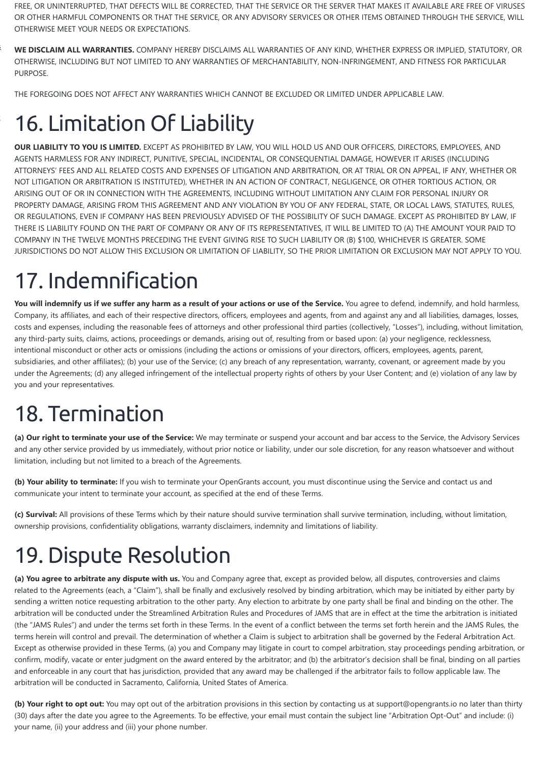FREE, OR UNINTERRUPTED, THAT DEFECTS WILL BE CORRECTED, THAT THE SERVICE OR THE SERVER THAT MAKES IT AVAILABLE ARE FREE OF VIRUSES OR OTHER HARMFUL COMPONENTS OR THAT THE SERVICE, OR ANY ADVISORY SERVICES OR OTHER ITEMS OBTAINED THROUGH THE SERVICE, WILL OTHERWISE MEET YOUR NEEDS OR EXPECTATIONS.

**WE DISCLAIM ALL WARRANTIES.** COMPANY HEREBY DISCLAIMS ALL WARRANTIES OF ANY KIND, WHETHER EXPRESS OR IMPLIED, STATUTORY, OR OTHERWISE, INCLUDING BUT NOT LIMITED TO ANY WARRANTIES OF MERCHANTABILITY, NON-INFRINGEMENT, AND FITNESS FOR PARTICULAR PURPOSE.

THE FOREGOING DOES NOT AFFECT ANY WARRANTIES WHICH CANNOT BE EXCLUDED OR LIMITED UNDER APPLICABLE LAW.

# [1](https://wefunder.com/opengrantsio/)6. Limitation Of Liability

**OUR LIABILITY TO YOU IS LIMITED.** EXCEPT AS PROHIBITED BY LAW, YOU WILL HOLD US AND OUR OFFICERS, DIRECTORS, EMPLOYEES, AND AGENTS HARMLESS FOR ANY INDIRECT, PUNITIVE, SPECIAL, INCIDENTAL, OR CONSEQUENTIAL DAMAGE, HOWEVER IT ARISES (INCLUDING ATTORNEYS' FEES AND ALL RELATED COSTS AND EXPENSES OF LITIGATION AND ARBITRATION, OR AT TRIAL OR ON APPEAL, IF ANY, WHETHER OR NOT LITIGATION OR ARBITRATION IS INSTITUTED), WHETHER IN AN ACTION OF CONTRACT, NEGLIGENCE, OR OTHER TORTIOUS ACTION, OR ARISING OUT OF OR IN CONNECTION WITH THE AGREEMENTS, INCLUDING WITHOUT LIMITATION ANY CLAIM FOR PERSONAL INJURY OR PROPERTY DAMAGE, ARISING FROM THIS AGREEMENT AND ANY VIOLATION BY YOU OF ANY FEDERAL, STATE, OR LOCAL LAWS, STATUTES, RULES, OR REGULATIONS, EVEN IF COMPANY HAS BEEN PREVIOUSLY ADVISED OF THE POSSIBILITY OF SUCH DAMAGE. EXCEPT AS PROHIBITED BY LAW, IF THERE IS LIABILITY FOUND ON THE PART OF COMPANY OR ANY OF ITS REPRESENTATIVES, IT WILL BE LIMITED TO (A) THE AMOUNT YOUR PAID TO COMPANY IN THE TWELVE MONTHS PRECEDING THE EVENT GIVING RISE TO SUCH LIABILITY OR (B) \$100, WHICHEVER IS GREATER. SOME JURISDICTIONS DO NOT ALLOW THIS EXCLUSION OR LIMITATION OF LIABILITY, SO THE PRIOR LIMITATION OR EXCLUSION MAY NOT APPLY TO YOU.

You will indemnify us if we suffer any harm as a result of your actions or use of the Service. You agree to defend, indemnify, and hold harmless, Company, its affiliates, and each of their respective directors, officers, employees and agents, from and against any and all liabilities, damages, losses, costs and expenses, including the reasonable fees of attorneys and other professional third parties (collectively, "Losses"), including, without limitation, any third-party suits, claims, actions, proceedings or demands, arising out of, resulting from or based upon: (a) your negligence, recklessness, intentional misconduct or other acts or omissions (including the actions or omissions of your directors, officers, employees, agents, parent, subsidiaries, and other affiliates); (b) your use of the Service; (c) any breach of any representation, warranty, covenant, or agreement made by you under the Agreements; (d) any alleged infringement of the intellectual property rights of others by your User Content; and (e) violation of any law by you and your representatives.

# 17. Indemnification

### 18. Termination

**(a) Our right to terminate your use of the Service:** We may terminate or suspend your account and bar access to the Service, the Advisory Services and any other service provided by us immediately, without prior notice or liability, under our sole discretion, for any reason whatsoever and without limitation, including but not limited to a breach of the Agreements.

**(b) Your ability to terminate:** If you wish to terminate your OpenGrants account, you must discontinue using the Service and contact us and communicate your intent to terminate your account, as specified at the end of these Terms.

**(c) Survival:** All provisions of these Terms which by their nature should survive termination shall survive termination, including, without limitation, ownership provisions, confidentiality obligations, warranty disclaimers, indemnity and limitations of liability.

### 19. Dispute Resolution

**(a) You agree to arbitrate any dispute with us.** You and Company agree that, except as provided below, all disputes, controversies and claims related to the Agreements (each, a "Claim"), shall be finally and exclusively resolved by binding arbitration, which may be initiated by either party by sending a written notice requesting arbitration to the other party. Any election to arbitrate by one party shall be final and binding on the other. The arbitration will be conducted under the Streamlined Arbitration Rules and Procedures of JAMS that are in effect at the time the arbitration is initiated (the "JAMS Rules") and under the terms set forth in these Terms. In the event of a conflict between the terms set forth herein and the JAMS Rules, the terms herein will control and prevail. The determination of whether a Claim is subject to arbitration shall be governed by the Federal Arbitration Act. Except as otherwise provided in these Terms, (a) you and Company may litigate in court to compel arbitration, stay proceedings pending arbitration, or confirm, modify, vacate or enter judgment on the award entered by the arbitrator; and (b) the arbitrator's decision shall be final, binding on all parties and enforceable in any court that has jurisdiction, provided that any award may be challenged if the arbitrator fails to follow applicable law. The arbitration will be conducted in Sacramento, California, United States of America.

**(b) Your right to opt out:** You may opt out of the arbitration provisions in this section by contacting us at support@opengrants.io no later than thirty (30) days after the date you agree to the Agreements. To be effective, your email must contain the subject line "Arbitration Opt-Out" and include: (i) your name, (ii) your address and (iii) your phone number.

[s](https://www.opengrants.io/consultants/)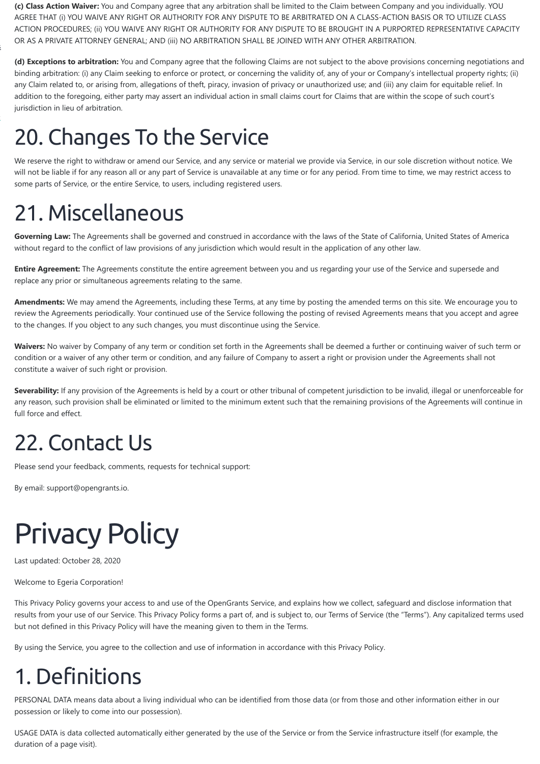**(c) Class Action Waiver:** You and Company agree that any arbitration shall be limited to the Claim between Company and you individually. YOU AGREE THAT (i) YOU WAIVE ANY RIGHT OR AUTHORITY FOR ANY DISPUTE TO BE ARBITRATED ON A CLASS-ACTION BASIS OR TO UTILIZE CLASS ACTION PROCEDURES; (ii) YOU WAIVE ANY RIGHT OR AUTHORITY FOR ANY DISPUTE TO BE BROUGHT IN A PURPORTED REPRESENTATIVE CAPACITY OR AS A PRIVATE ATTORNEY GENERAL; AND (iii) NO ARBITRATION SHALL BE JOINED WITH ANY OTHER ARBITRATION.

**(d) Exceptions to arbitration:** You and Company agree that the following Claims are not subject to the above provisions concerning negotiations and binding arbitration: (i) any Claim seeking to enforce or protect, or concerning the validity of, any of your or Company's intellectual property rights; (ii) any Claim related to, or arising from, allegations of theft, piracy, invasion of privacy or unauthorized use; and (iii) any claim for equitable relief. In addition to the foregoing, either party may assert an individual action in small claims court for Claims that are within the scope of such court's jurisdiction in lieu of arbitration.

## 20. Changes To the Service

We reserve the right to withdraw or amend our Service, and any service or material we provide via Service, in our sole discretion without notice. We will not be liable if for any reason all or any part of Service is unavailable at any time or for any period. From time to time, we may restrict access to some parts of Service, or the entire Service, to users, including registered users.

Waivers: No waiver by Company of any term or condition set forth in the Agreements shall be deemed a further or continuing waiver of such term or condition or a waiver of any other term or condition, and any failure of Company to assert a right or provision under the Agreements shall not constitute a waiver of such right or provision.

Severability: If any provision of the Agreements is held by a court or other tribunal of competent jurisdiction to be invalid, illegal or unenforceable for any reason, such provision shall be eliminated or limited to the minimum extent such that the remaining provisions of the Agreements will continue in full force and effect.

### 21. Miscellaneous

**Governing Law:** The Agreements shall be governed and construed in accordance with the laws of the State of California, United States of America without regard to the conflict of law provisions of any jurisdiction which would result in the application of any other law.

**Entire Agreement:** The Agreements constitute the entire agreement between you and us regarding your use of the Service and supersede and replace any prior or simultaneous agreements relating to the same.

**Amendments:** We may amend the Agreements, including these Terms, at any time by posting the amended terms on this site. We encourage you to review the Agreements periodically. Your continued use of the Service following the posting of revised Agreements means that you accept and agree to the changes. If you object to any such changes, you must discontinue using the Service.

### 22. Contact Us

Please send your feedback, comments, requests for technical support:

By email: support@opengrants.io.

<span id="page-6-0"></span>

Last updated: October 28, 2020

Welcome to Egeria Corporation!

This Privacy Policy governs your access to and use of the OpenGrants Service, and explains how we collect, safeguard and disclose information that results from your use of our Service. This Privacy Policy forms a part of, and is subject to, our Terms of Service (the "Terms"). Any capitalized terms used but not defined in this Privacy Policy will have the meaning given to them in the Terms.

By using the Service, you agree to the collection and use of information in accordance with this Privacy Policy.

### 1. Definitions

PERSONAL DATA means data about a living individual who can be identified from those data (or from those and other information either in our possession or likely to come into our possession).

USAGE DATA is data collected automatically either generated by the use of the Service or from the Service infrastructure itself (for example, the duration of a page visit).

[s](https://www.opengrants.io/consultants/)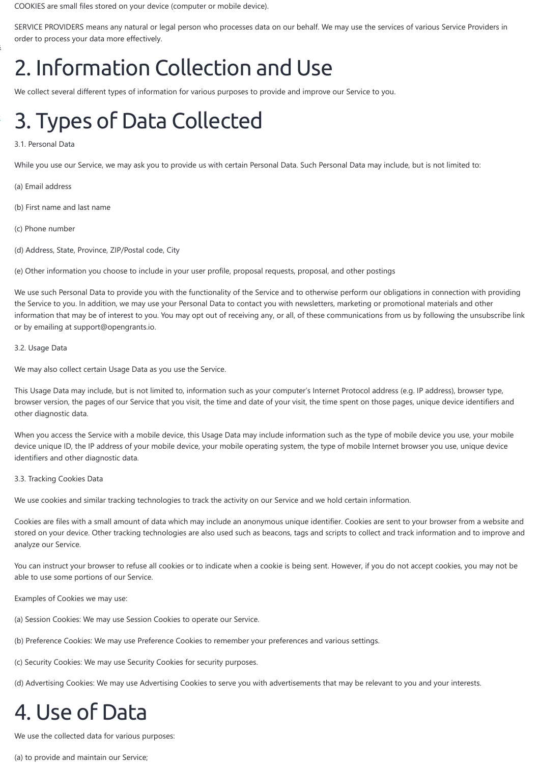COOKIES are small files stored on your device (computer or mobile device).

SERVICE PROVIDERS means any natural or legal person who processes data on our behalf. We may use the services of various Service Providers in order to process your data more effectively.

## 2. Information Collection and Use

We collect several different types of information for various purposes to provide and improve our Service to you.

### [3](https://wefunder.com/opengrantsio/). Types of Data Collected

#### 3.1. Personal Data

While you use our Service, we may ask you to provide us with certain Personal Data. Such Personal Data may include, but is not limited to:

- (a) Email address
- (b) First name and last name
- (c) Phone number
- (d) Address, State, Province, ZIP/Postal code, City

(e) Other information you choose to include in your user profile, proposal requests, proposal, and other postings

We use such Personal Data to provide you with the functionality of the Service and to otherwise perform our obligations in connection with providing the Service to you. In addition, we may use your Personal Data to contact you with newsletters, marketing or promotional materials and other information that may be of interest to you. You may opt out of receiving any, or all, of these communications from us by following the unsubscribe link or by emailing at support@opengrants.io.

#### 3.2. Usage Data

We may also collect certain Usage Data as you use the Service.

This Usage Data may include, but is not limited to, information such as your computer's Internet Protocol address (e.g. IP address), browser type, browser version, the pages of our Service that you visit, the time and date of your visit, the time spent on those pages, unique device identifiers and other diagnostic data.

When you access the Service with a mobile device, this Usage Data may include information such as the type of mobile device you use, your mobile device unique ID, the IP address of your mobile device, your mobile operating system, the type of mobile Internet browser you use, unique device identifiers and other diagnostic data.

#### 3.3. Tracking Cookies Data

We use cookies and similar tracking technologies to track the activity on our Service and we hold certain information.

Cookies are files with a small amount of data which may include an anonymous unique identifier. Cookies are sent to your browser from a website and stored on your device. Other tracking technologies are also used such as beacons, tags and scripts to collect and track information and to improve and analyze our Service.

You can instruct your browser to refuse all cookies or to indicate when a cookie is being sent. However, if you do not accept cookies, you may not be

able to use some portions of our Service.

Examples of Cookies we may use:

(a) Session Cookies: We may use Session Cookies to operate our Service.

(b) Preference Cookies: We may use Preference Cookies to remember your preferences and various settings.

(c) Security Cookies: We may use Security Cookies for security purposes.

(d) Advertising Cookies: We may use Advertising Cookies to serve you with advertisements that may be relevant to you and your interests.

### 4. Use of Data

We use the collected data for various purposes:

(a) to provide and maintain our Service;

[s](https://www.opengrants.io/consultants/)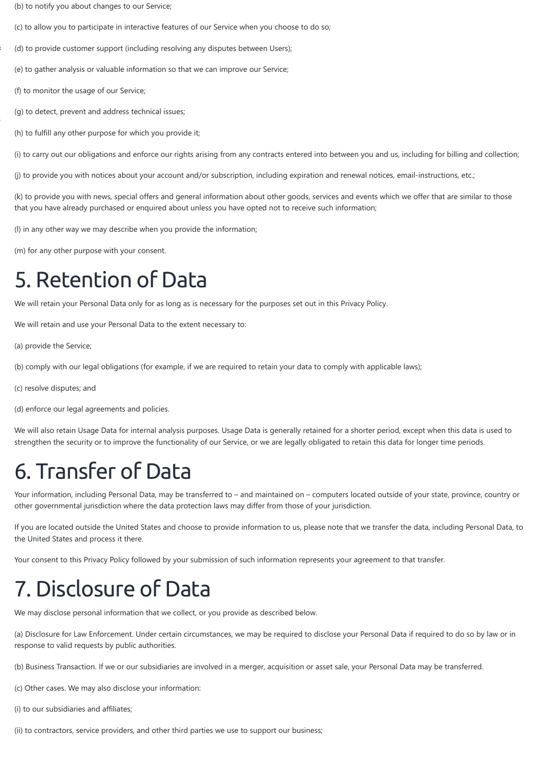- (b) to notify you about changes to our Service;
- (c) to allow you to participate in interactive features of our Service when you choose to do so;
- (d) to provide customer support (including resolving any disputes between Users);
- (e) to gather analysis or valuable information so that we can improve our Service;
- (f) to monitor the usage of our Service;

- (g) to detect, prevent and address technical issues;
- (h) to fulfill any other purpose for which you provide it;

(i) to carry out our obligations and enforce our rights arising from any contracts entered into between you and us, including for billing and collection;

(j) to provide you with notices about your account and/or subscription, including expiration and renewal notices, email-instructions, etc.;

(k) to provide you with news, special offers and general information about other goods, services and events which we offer that are similar to those that you have already purchased or enquired about unless you have opted not to receive such information;

(l) in any other way we may describe when you provide the information;

(m) for any other purpose with your consent.

### 5. Retention of Data

We will retain your Personal Data only for as long as is necessary for the purposes set out in this Privacy Policy.

We will retain and use your Personal Data to the extent necessary to:

(a) provide the Service;

(b) comply with our legal obligations (for example, if we are required to retain your data to comply with applicable laws);

(c) resolve disputes; and

(d) enforce our legal agreements and policies.

We will also retain Usage Data for internal analysis purposes. Usage Data is generally retained for a shorter period, except when this data is used to strengthen the security or to improve the functionality of our Service, or we are legally obligated to retain this data for longer time periods.

### 6. Transfer of Data

Your information, including Personal Data, may be transferred to – and maintained on – computers located outside of your state, province, country or other governmental jurisdiction where the data protection laws may differ from those of your jurisdiction.

If you are located outside the United States and choose to provide information to us, please note that we transfer the data, including Personal Data, to the United States and process it there.

Your consent to this Privacy Policy followed by your submission of such information represents your agreement to that transfer.

### 7. Disclosure of Data

We may disclose personal information that we collect, or you provide as described below.

(a) Disclosure for Law Enforcement. Under certain circumstances, we may be required to disclose your Personal Data if required to do so by law or in response to valid requests by public authorities.

(b) Business Transaction. If we or our subsidiaries are involved in a merger, acquisition or asset sale, your Personal Data may be transferred.

(c) Other cases. We may also disclose your information:

(i) to our subsidiaries and affiliates;

(ii) to contractors, service providers, and other third parties we use to support our business;

[s](https://www.opengrants.io/consultants/)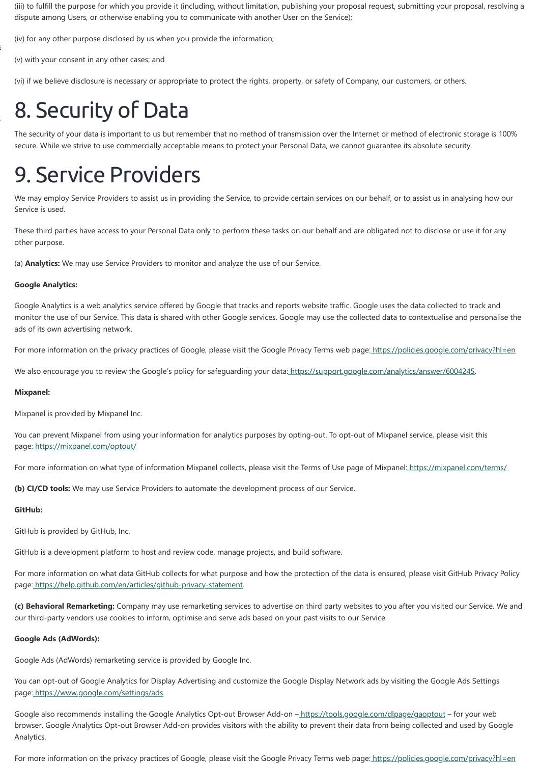(iii) to fulfill the purpose for which you provide it (including, without limitation, publishing your proposal request, submitting your proposal, resolving a dispute among Users, or otherwise enabling you to communicate with another User on the Service);

(iv) for any other purpose disclosed by us when you provide the information;

(v) with your consent in any other cases; and

(vi) if we believe disclosure is necessary or appropriate to protect the rights, property, or safety of Company, our customers, or others.

# [8](https://wefunder.com/opengrantsio/). Security of Data

The security of your data is important to us but remember that no method of transmission over the Internet or method of electronic storage is 100% secure. While we strive to use commercially acceptable means to protect your Personal Data, we cannot guarantee its absolute security.

### 9. Service Providers

We may employ Service Providers to assist us in providing the Service, to provide certain services on our behalf, or to assist us in analysing how our Service is used.

These third parties have access to your Personal Data only to perform these tasks on our behalf and are obligated not to disclose or use it for any other purpose.

(a) **Analytics:** We may use Service Providers to monitor and analyze the use of our Service.

#### **Google Analytics:**

Google Analytics is a web analytics service offered by Google that tracks and reports website traffic. Google uses the data collected to track and monitor the use of our Service. This data is shared with other Google services. Google may use the collected data to contextualise and personalise the ads of its own advertising network.

For more information on the privacy practices of Google, please visit the Google Privacy Terms web page:<https://policies.google.com/privacy?hl=en>

We also encourage you to review the Google's policy for safeguarding your data: [https://support.google.com/analytics/answer/6004245.](https://support.google.com/analytics/answer/6004245)

Google also recommends installing the Google Analytics Opt-out Browser Add-on -<https://tools.google.com/dlpage/gaoptout> - for your web browser. Google Analytics Opt-out Browser Add-on provides visitors with the ability to prevent their data from being collected and used by Google Analytics.

For more information on the privacy practices of Google, please visit the Google Privacy Terms web page:<https://policies.google.com/privacy?hl=en>

#### **Mixpanel:**

Mixpanel is provided by Mixpanel Inc.

You can prevent Mixpanel from using your information for analytics purposes by opting-out. To opt-out of Mixpanel service, please visit this page:<https://mixpanel.com/optout/>

For more information on what type of information Mixpanel collects, please visit the Terms of Use page of Mixpanel:<https://mixpanel.com/terms/>

**(b) CI/CD tools:** We may use Service Providers to automate the development process of our Service.

#### **GitHub:**

GitHub is provided by GitHub, Inc.

GitHub is a development platform to host and review code, manage projects, and build software.

For more information on what data GitHub collects for what purpose and how the protection of the data is ensured, please visit GitHub Privacy Policy

page: [https://help.github.com/en/articles/github-privacy-statement.](https://help.github.com/en/articles/github-privacy-statement)

**(c) Behavioral Remarketing:** Company may use remarketing services to advertise on third party websites to you after you visited our Service. We and our third-party vendors use cookies to inform, optimise and serve ads based on your past visits to our Service.

#### **Google Ads (AdWords):**

Google Ads (AdWords) remarketing service is provided by Google Inc.

You can opt-out of Google Analytics for Display Advertising and customize the Google Display Network ads by visiting the Google Ads Settings page:<https://www.google.com/settings/ads>

[s](https://www.opengrants.io/consultants/)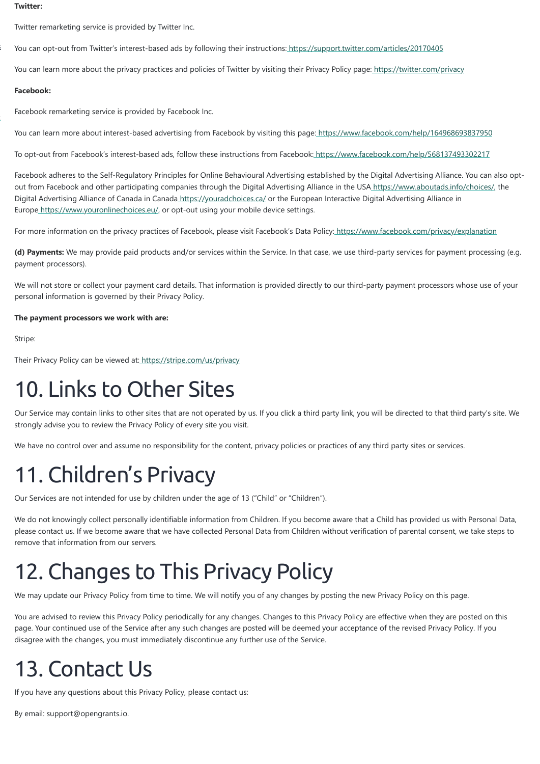#### **Twitter:**

Twitter remarketing service is provided by Twitter Inc.

You can opt-out from Twitter's interest-based ads by following their instructions:<https://support.twitter.com/articles/20170405>

You can learn more about the privacy practices and policies of Twitter by visiting their Privacy Policy page[: https://twitter.com/privacy](https://twitter.com/privacy)

Facebook adheres to the Self-Regulatory Principles for Online Behavioural Advertising established by the Digital Advertising Alliance. You can also optout from Facebook and other participating companies through the Digital Advertising Alliance in the USA<https://www.aboutads.info/choices/,>the Digital Advertising Alliance of Canada in Canada<https://youradchoices.ca/>or the European Interactive Digital Advertising Alliance in Europe<https://www.youronlinechoices.eu/,>or opt-out using your mobile device settings.

For more information on the privacy practices of Facebook, please visit Facebook's Data Policy:<https://www.facebook.com/privacy/explanation>

#### **Facebook:**

Facebook remarketing service is provided by Facebook Inc.

You can learn more about interest-based advertising from Facebook by visiting this page:<https://www.facebook.com/help/164968693837950>

To opt-out from Facebook's interest-based ads, follow these instructions from Facebook[: https://www.facebook.com/help/568137493302217](https://www.facebook.com/help/568137493302217)

**(d) Payments:** We may provide paid products and/or services within the Service. In that case, we use third-party services for payment processing (e.g. payment processors).

We will not store or collect your payment card details. That information is provided directly to our third-party payment processors whose use of your personal information is governed by their Privacy Policy.

#### **The payment processors we work with are:**

Stripe:

Their Privacy Policy can be viewed at:<https://stripe.com/us/privacy>

### 10. Links to Other Sites

Our Service may contain links to other sites that are not operated by us. If you click a third party link, you will be directed to that third party's site. We strongly advise you to review the Privacy Policy of every site you visit.

We have no control over and assume no responsibility for the content, privacy policies or practices of any third party sites or services.

# 11. Children's Privacy

Our Services are not intended for use by children under the age of 13 ("Child" or "Children").

We do not knowingly collect personally identifiable information from Children. If you become aware that a Child has provided us with Personal Data, please contact us. If we become aware that we have collected Personal Data from Children without verification of parental consent, we take steps to remove that information from our servers.

### 12. Changes to This Privacy Policy

We may update our Privacy Policy from time to time. We will notify you of any changes by posting the new Privacy Policy on this page.

You are advised to review this Privacy Policy periodically for any changes. Changes to this Privacy Policy are effective when they are posted on this page. Your continued use of the Service after any such changes are posted will be deemed your acceptance of the revised Privacy Policy. If you disagree with the changes, you must immediately discontinue any further use of the Service.

### 13. Contact Us

If you have any questions about this Privacy Policy, please contact us:

<span id="page-10-0"></span>By email: support@opengrants.io.

[s](https://www.opengrants.io/consultants/)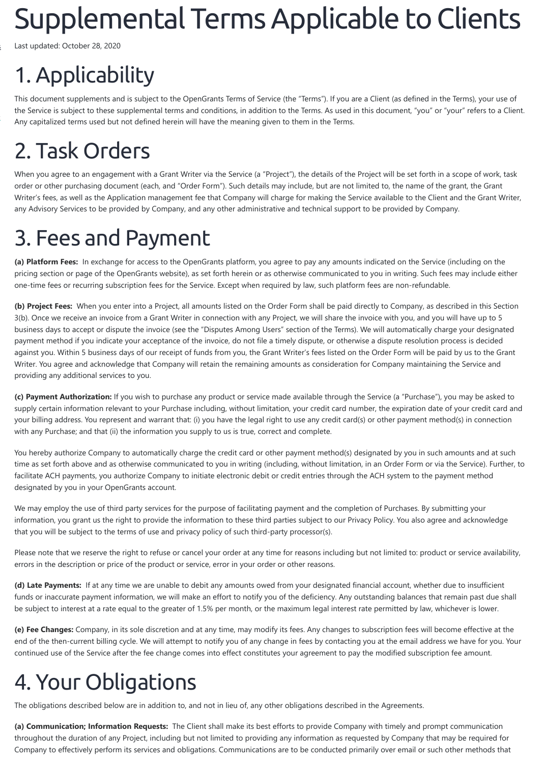# Supplemental TermsApplicable to Clients

Last updated: October 28, 2020

# 1. Applicability

This document supplements and is subject to the OpenGrants Terms of Service (the "Terms"). If you are a Client (as defined in the Terms), your use of the Service is subject to these supplemental terms and conditions, in addition to the Terms. As used in this document, "you" or "your" refers to a Client. Any capitalized terms used but not defined herein will have the meaning given to them in the Terms.

### 2. Task Orders

When you agree to an engagement with a Grant Writer via the Service (a "Project"), the details of the Project will be set forth in a scope of work, task order or other purchasing document (each, and "Order Form"). Such details may include, but are not limited to, the name of the grant, the Grant Writer's fees, as well as the Application management fee that Company will charge for making the Service available to the Client and the Grant Writer, any Advisory Services to be provided by Company, and any other administrative and technical support to be provided by Company.

## 3. Fees and Payment

**(c) Payment Authorization:** If you wish to purchase any product or service made available through the Service (a "Purchase"), you may be asked to supply certain information relevant to your Purchase including, without limitation, your credit card number, the expiration date of your credit card and your billing address. You represent and warrant that: (i) you have the legal right to use any credit card(s) or other payment method(s) in connection with any Purchase; and that (ii) the information you supply to us is true, correct and complete.

**(a) Platform Fees:** In exchange for access to the OpenGrants platform, you agree to pay any amounts indicated on the Service (including on the pricing section or page of the OpenGrants website), as set forth herein or as otherwise communicated to you in writing. Such fees may include either one-time fees or recurring subscription fees for the Service. Except when required by law, such platform fees are non-refundable.

**(b) Project Fees:** When you enter into a Project, all amounts listed on the Order Form shall be paid directly to Company, as described in this Section 3(b). Once we receive an invoice from a Grant Writer in connection with any Project, we will share the invoice with you, and you will have up to 5 business days to accept or dispute the invoice (see the "Disputes Among Users" section of the Terms). We will automatically charge your designated payment method if you indicate your acceptance of the invoice, do not file a timely dispute, or otherwise a dispute resolution process is decided against you. Within 5 business days of our receipt of funds from you, the Grant Writer's fees listed on the Order Form will be paid by us to the Grant Writer. You agree and acknowledge that Company will retain the remaining amounts as consideration for Company maintaining the Service and providing any additional services to you.

You hereby authorize Company to automatically charge the credit card or other payment method(s) designated by you in such amounts and at such time as set forth above and as otherwise communicated to you in writing (including, without limitation, in an Order Form or via the Service). Further, to facilitate ACH payments, you authorize Company to initiate electronic debit or credit entries through the ACH system to the payment method designated by you in your OpenGrants account.

We may employ the use of third party services for the purpose of facilitating payment and the completion of Purchases. By submitting your information, you grant us the right to provide the information to these third parties subject to our Privacy Policy. You also agree and acknowledge that you will be subject to the terms of use and privacy policy of such third-party processor(s).

Please note that we reserve the right to refuse or cancel your order at any time for reasons including but not limited to: product or service availability, errors in the description or price of the product or service, error in your order or other reasons.

**(d) Late Payments:** If at any time we are unable to debit any amounts owed from your designated financial account, whether due to insufficient funds or inaccurate payment information, we will make an effort to notify you of the deficiency. Any outstanding balances that remain past due shall be subject to interest at a rate equal to the greater of 1.5% per month, or the maximum legal interest rate permitted by law, whichever is lower.

**(e) Fee Changes:** Company, in its sole discretion and at any time, may modify its fees. Any changes to subscription fees will become effective at the end of the then-current billing cycle. We will attempt to notify you of any change in fees by contacting you at the email address we have for you. Your continued use of the Service after the fee change comes into effect constitutes your agreement to pay the modified subscription fee amount.

### 4. Your Obligations

The obligations described below are in addition to, and not in lieu of, any other obligations described in the Agreements.

**(a) Communication; Information Requests:** The Client shall make its best efforts to provide Company with timely and prompt communication throughout the duration of any Project, including but not limited to providing any information as requested by Company that may be required for Company to effectively perform its services and obligations. Communications are to be conducted primarily over email or such other methods that

[s](https://www.opengrants.io/consultants/)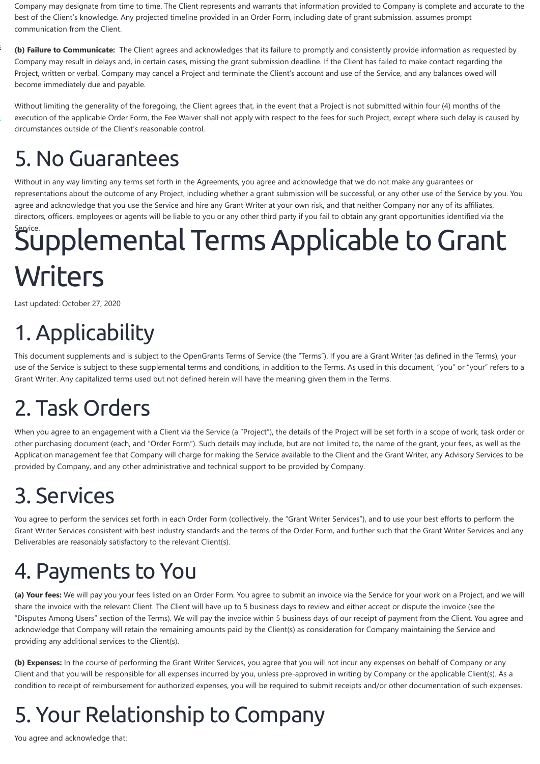Company may designate from time to time. The Client represents and warrants that information provided to Company is complete and accurate to the best of the Client's knowledge. Any projected timeline provided in an Order Form, including date of grant submission, assumes prompt communication from the Client.

**(b) Failure to Communicate:** The Client agrees and acknowledges that its failure to promptly and consistently provide information as requested by Company may result in delays and, in certain cases, missing the grant submission deadline. If the Client has failed to make contact regarding the Project, written or verbal, Company may cancel a Project and terminate the Client's account and use of the Service, and any balances owed will become immediately due and payable.

Without limiting the generality of the foregoing, the Client agrees that, in the event that a Project is not submitted within four (4) months of the execution of the applicable Order Form, the Fee Waiver shall not apply with respect to the fees for such Project, except where such delay is caused by circumstances outside of the Client's reasonable control.

### 5. No Guarantees

Without in any way limiting any terms set forth in the Agreements, you agree and acknowledge that we do not make any guarantees or representations about the outcome of any Project, including whether a grant submission will be successful, or any other use of the Service by you. You agree and acknowledge that you use the Service and hire any Grant Writer at your own risk, and that neither Company nor any of its affiliates, directors, officers, employees or agents will be liable to you or any other third party if you fail to obtain any grant opportunities identified via the

# <span id="page-12-0"></span>Supplemental Terms Applicable to Grant **Writers**

Last updated: October 27, 2020

# 1. Applicability

This document supplements and is subject to the OpenGrants Terms of Service (the "Terms"). If you are a Grant Writer (as defined in the Terms), your use of the Service is subject to these supplemental terms and conditions, in addition to the Terms. As used in this document, "you" or "your" refers to a Grant Writer. Any capitalized terms used but not defined herein will have the meaning given them in the Terms.

# 2. Task Orders

When you agree to an engagement with a Client via the Service (a "Project"), the details of the Project will be set forth in a scope of work, task order or other purchasing document (each, and "Order Form"). Such details may include, but are not limited to, the name of the grant, your fees, as well as the Application management fee that Company will charge for making the Service available to the Client and the Grant Writer, any Advisory Services to be provided by Company, and any other administrative and technical support to be provided by Company.

# 3. Services

You agree to perform the services set forth in each Order Form (collectively, the "Grant Writer Services"), and to use your best efforts to perform the Grant Writer Services consistent with best industry standards and the terms of the Order Form, and further such that the Grant Writer Services and any Deliverables are reasonably satisfactory to the relevant Client(s).

### 4. Payments to You

**(a) Your fees:** We will pay you your fees listed on an Order Form. You agree to submit an invoice via the Service for your work on a Project, and we will share the invoice with the relevant Client. The Client will have up to 5 business days to review and either accept or dispute the invoice (see the "Disputes Among Users" section of the Terms). We will pay the invoice within 5 business days of our receipt of payment from the Client. You agree and acknowledge that Company will retain the remaining amounts paid by the Client(s) as consideration for Company maintaining the Service and providing any additional services to the Client(s).

**(b) Expenses:** In the course of performing the Grant Writer Services, you agree that you will not incur any expenses on behalf of Company or any Client and that you will be responsible for all expenses incurred by you, unless pre-approved in writing by Company or the applicable Client(s). As a condition to receipt of reimbursement for authorized expenses, you will be required to submit receipts and/or other documentation of such expenses.

### 5. Your Relationship to Company

You agree and acknowledge that:

[s](https://www.opengrants.io/consultants/)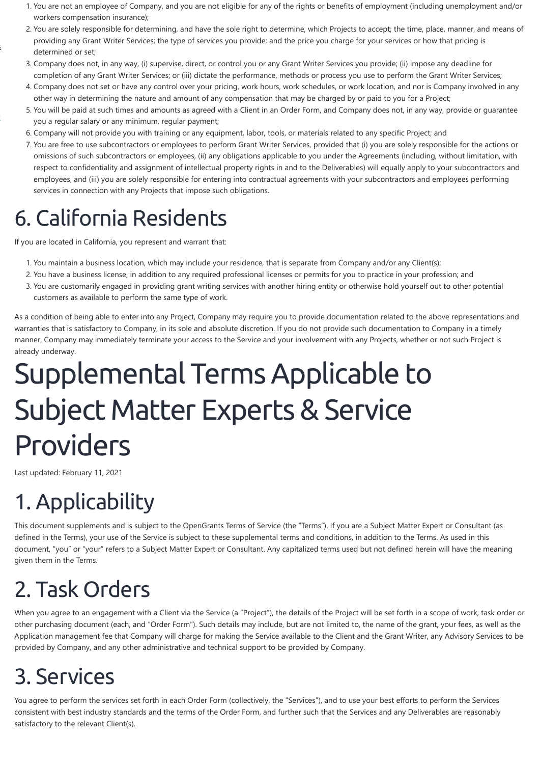- 1. You are not an employee of Company, and you are not eligible for any of the rights or benefits of employment (including unemployment and/or workers compensation insurance);
- 2. You are solely responsible for determining, and have the sole right to determine, which Projects to accept; the time, place, manner, and means of providing any Grant Writer Services; the type of services you provide; and the price you charge for your services or how that pricing is determined or set;
- 3. Company does not, in any way, (i) supervise, direct, or control you or any Grant Writer Services you provide; (ii) impose any deadline for completion of any Grant Writer Services; or (iii) dictate the performance, methods or process you use to perform the Grant Writer Services;
- 4. Company does not set or have any control over your pricing, work hours, work schedules, or work location, and nor is Company involved in any other way in determining the nature and amount of any compensation that may be charged by or paid to you for a Project;
- 5. You will be paid at such times and amounts as agreed with a Client in an Order Form, and Company does not, in any way, provide or guarantee you a regular salary or any minimum, regular payment;
- 6. Company will not provide you with training or any equipment, labor, tools, or materials related to any specific Project; and
- 7. You are free to use subcontractors or employees to perform Grant Writer Services, provided that (i) you are solely responsible for the actions or omissions of such subcontractors or employees, (ii) any obligations applicable to you under the Agreements (including, without limitation, with respect to confidentiality and assignment of intellectual property rights in and to the Deliverables) will equally apply to your subcontractors and employees, and (iii) you are solely responsible for entering into contractual agreements with your subcontractors and employees performing services in connection with any Projects that impose such obligations.

## 6. California Residents

If you are located in California, you represent and warrant that:

- 1. You maintain a business location, which may include your residence, that is separate from Company and/or any Client(s);
- 2. You have a business license, in addition to any required professional licenses or permits for you to practice in your profession; and
- 3. You are customarily engaged in providing grant writing services with another hiring entity or otherwise hold yourself out to other potential customers as available to perform the same type of work.

As a condition of being able to enter into any Project, Company may require you to provide documentation related to the above representations and warranties that is satisfactory to Company, in its sole and absolute discretion. If you do not provide such documentation to Company in a timely manner, Company may immediately terminate your access to the Service and your involvement with any Projects, whether or not such Project is already underway.

# <span id="page-13-0"></span>Supplemental TermsApplicable to Subject Matter Experts & Service Providers

Last updated: February 11, 2021

# 1. Applicability

This document supplements and is subject to the OpenGrants Terms of Service (the "Terms"). If you are a Subject Matter Expert or Consultant (as defined in the Terms), your use of the Service is subject to these supplemental terms and conditions, in addition to the Terms. As used in this document, "you" or "your" refers to a Subject Matter Expert or Consultant. Any capitalized terms used but not defined herein will have the meaning given them in the Terms.

### 2. Task Orders

When you agree to an engagement with a Client via the Service (a "Project"), the details of the Project will be set forth in a scope of work, task order or other purchasing document (each, and "Order Form"). Such details may include, but are not limited to, the name of the grant, your fees, as well as the Application management fee that Company will charge for making the Service available to the Client and the Grant Writer, any Advisory Services to be provided by Company, and any other administrative and technical support to be provided by Company.

### 3. Services

You agree to perform the services set forth in each Order Form (collectively, the "Services"), and to use your best efforts to perform the Services consistent with best industry standards and the terms of the Order Form, and further such that the Services and any Deliverables are reasonably satisfactory to the relevant Client(s).

[s](https://www.opengrants.io/consultants/)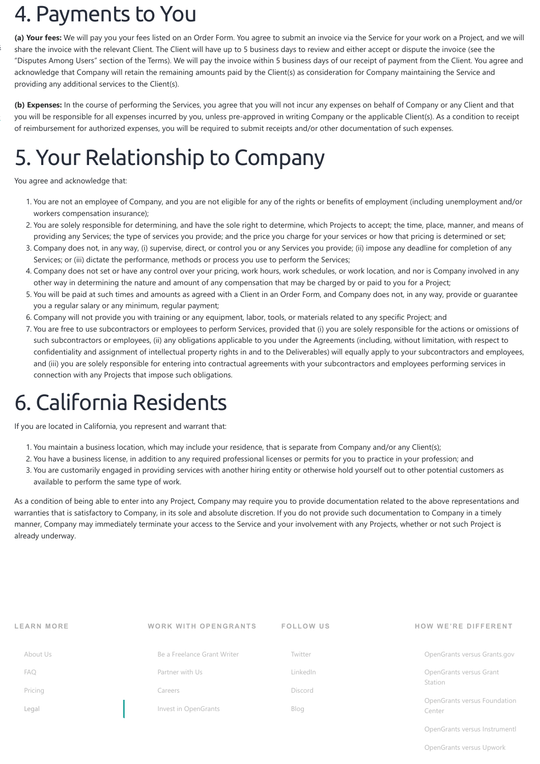#### **LEARN M ORE**

#### [About Us](https://www.opengrants.io/about-opengrants/)

[FAQ](https://kb.opengrants.io/)

#### [Pricing](https://www.opengrants.io/how-opengrants-pricing-works/)

[Legal](https://www.opengrants.io/opengrants-legal/)

#### **WORK WITH OPENGRANTS**

#### [Be a Freelance Grant Writer](https://www.opengrants.io/consultants/)

[Partner with Us](https://www.opengrants.io/enterprise/)

[Careers](https://www.opengrants.io/careers/)

#### [Invest in OpenGrants](https://wefunder.com/opengrantsio)

**FOLLOW US**

[Twitter](https://twitter.com/opengrants_io) [LinkedIn](https://www.linkedin.com/company/opengrantsio/)

#### [Discord](https://discord.gg/PFg4eyEGnf)

[Blog](https://www.opengrants.io/opengrants-blog/)

#### **HOW WE'RE DIFFERENT**

[OpenGrants versus Grants.gov](https://www.opengrants.io/opengrants-versus-grants-gov/)

[OpenGrants versus Grant](https://www.opengrants.io/opengrants-versus-grant-station/) Station

[OpenGrants versus Foundation](https://www.opengrants.io/opengrants-versus-foundation-center/) Center

[OpenGrants versus Instrumentl](https://www.opengrants.io/opengrants-versus-instrumentl/)

[OpenGrants versus Upwork](https://www.opengrants.io/opengrants-versus-upwork/)

### 4. Payments to You

**(a) Your fees:** We will pay you your fees listed on an Order Form. You agree to submit an invoice via the Service for your work on a Project, and we will share the invoice with the relevant Client. The Client will have up to 5 business days to review and either accept or dispute the invoice (see the "Disputes Among Users" section of the Terms). We will pay the invoice within 5 business days of our receipt of payment from the Client. You agree and acknowledge that Company will retain the remaining amounts paid by the Client(s) as consideration for Company maintaining the Service and providing any additional services to the Client(s).

**(b) Expenses:** In the course of performing the Services, you agree that you will not incur any expenses on behalf of Company or any Client and that you will be responsible for all expenses incurred by you, unless pre-approved in writing Company or the applicable Client(s). As a condition to receipt of reimbursement for authorized expenses, you will be required to submit receipts and/or other documentation of such expenses.

# 5. Your Relationship to Company

You agree and acknowledge that:

- 1. You are not an employee of Company, and you are not eligible for any of the rights or benefits of employment (including unemployment and/or workers compensation insurance);
- 2. You are solely responsible for determining, and have the sole right to determine, which Projects to accept; the time, place, manner, and means of providing any Services; the type of services you provide; and the price you charge for your services or how that pricing is determined or set;
- 3. Company does not, in any way, (i) supervise, direct, or control you or any Services you provide; (ii) impose any deadline for completion of any Services; or (iii) dictate the performance, methods or process you use to perform the Services;
- 4. Company does not set or have any control over your pricing, work hours, work schedules, or work location, and nor is Company involved in any other way in determining the nature and amount of any compensation that may be charged by or paid to you for a Project;
- 5. You will be paid at such times and amounts as agreed with a Client in an Order Form, and Company does not, in any way, provide or guarantee you a regular salary or any minimum, regular payment;
- 6. Company will not provide you with training or any equipment, labor, tools, or materials related to any specific Project; and
- 7. You are free to use subcontractors or employees to perform Services, provided that (i) you are solely responsible for the actions or omissions of such subcontractors or employees, (ii) any obligations applicable to you under the Agreements (including, without limitation, with respect to confidentiality and assignment of intellectual property rights in and to the Deliverables) will equally apply to your subcontractors and employees, and (iii) you are solely responsible for entering into contractual agreements with your subcontractors and employees performing services in connection with any Projects that impose such obligations.

### 6. California Residents

If you are located in California, you represent and warrant that:

- 1. You maintain a business location, which may include your residence, that is separate from Company and/or any Client(s);
- 2. You have a business license, in addition to any required professional licenses or permits for you to practice in your profession; and
- 3. You are customarily engaged in providing services with another hiring entity or otherwise hold yourself out to other potential customers as available to perform the same type of work.

As a condition of being able to enter into any Project, Company may require you to provide documentation related to the above representations and warranties that is satisfactory to Company, in its sole and absolute discretion. If you do not provide such documentation to Company in a timely manner, Company may immediately terminate your access to the Service and your involvement with any Projects, whether or not such Project is already underway.

[s](https://www.opengrants.io/consultants/)